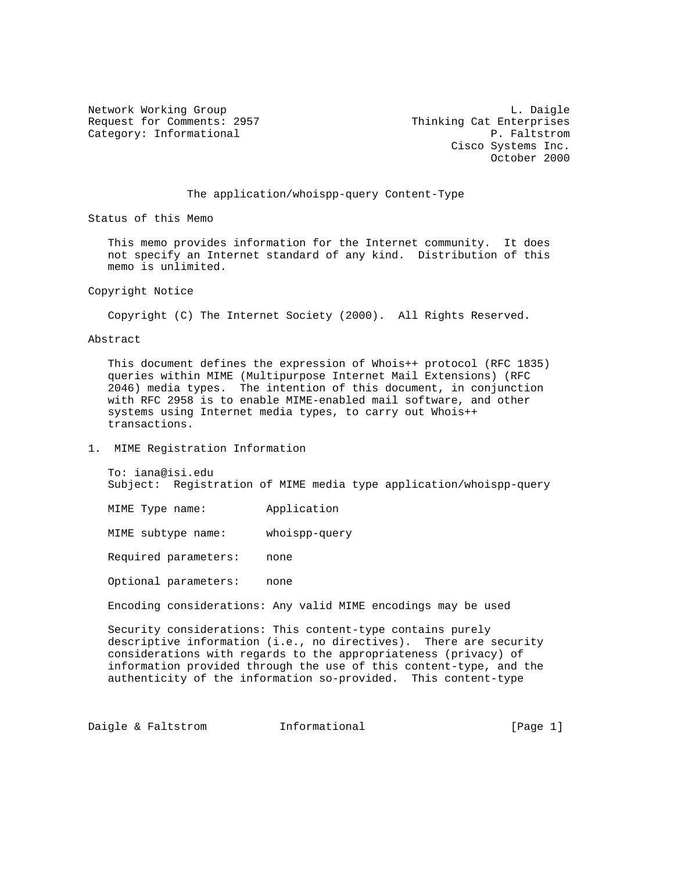Request for Comments: 2957 Thinking Cat Enterprises Category: Informational example of the example of the P. Faltstrom

Network Working Group and the contract of the contract of the contract of the contract of the contract of the contract of the contract of the contract of the contract of the contract of the contract of the contract of the Cisco Systems Inc. October 2000

## The application/whoispp-query Content-Type

Status of this Memo

 This memo provides information for the Internet community. It does not specify an Internet standard of any kind. Distribution of this memo is unlimited.

Copyright Notice

Copyright (C) The Internet Society (2000). All Rights Reserved.

Abstract

 This document defines the expression of Whois++ protocol (RFC 1835) queries within MIME (Multipurpose Internet Mail Extensions) (RFC 2046) media types. The intention of this document, in conjunction with RFC 2958 is to enable MIME-enabled mail software, and other systems using Internet media types, to carry out Whois++ transactions.

## 1. MIME Registration Information

 To: iana@isi.edu Subject: Registration of MIME media type application/whoispp-query

MIME Type name: Application

MIME subtype name: whoispp-query

Required parameters: none

Optional parameters: none

Encoding considerations: Any valid MIME encodings may be used

 Security considerations: This content-type contains purely descriptive information (i.e., no directives). There are security considerations with regards to the appropriateness (privacy) of information provided through the use of this content-type, and the authenticity of the information so-provided. This content-type

Daigle & Faltstrom 1nformational [Page 1]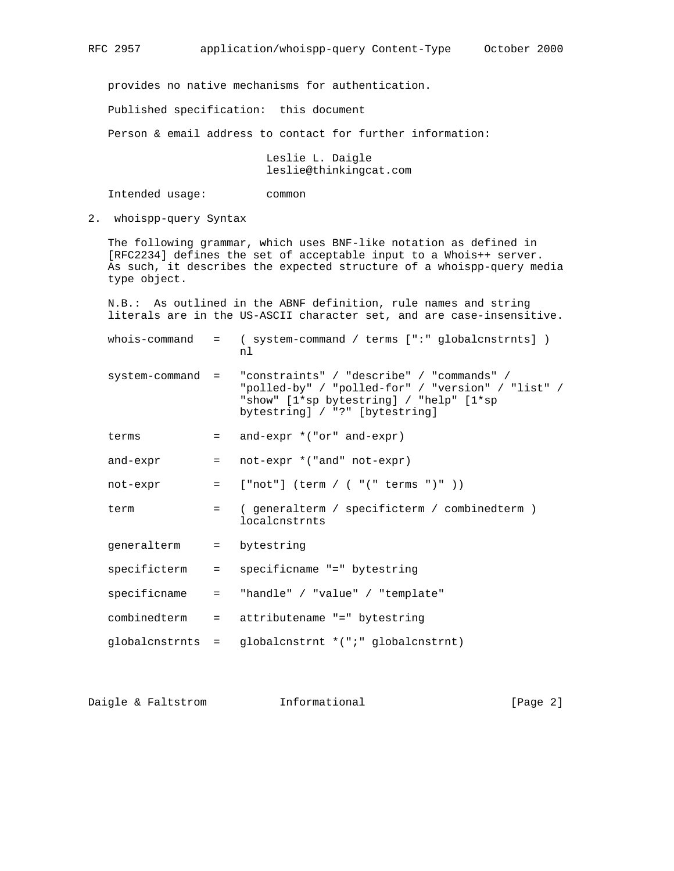provides no native mechanisms for authentication.

Published specification: this document

Person & email address to contact for further information:

 Leslie L. Daigle leslie@thinkingcat.com

Intended usage: common

2. whoispp-query Syntax

 The following grammar, which uses BNF-like notation as defined in [RFC2234] defines the set of acceptable input to a Whois++ server. As such, it describes the expected structure of a whoispp-query media type object.

 N.B.: As outlined in the ABNF definition, rule names and string literals are in the US-ASCII character set, and are case-insensitive.

 whois-command = ( system-command / terms [":" globalcnstrnts] ) nlar and the state of the state of the state of the state of the state of the state of the state of the state o

- system-command = "constraints" / "describe" / "commands" / "polled-by" / "polled-for" / "version" / "list" / "show" [1\*sp bytestring] / "help" [1\*sp bytestring] / "?" [bytestring]
	- terms  $=$  and-expr  $*(\text{''or'' and -expr})$
	- and-expr = not-expr \*("and" not-expr)
	- not-expr = ["not"] (term / ( "(" terms ")" ))
	- term = ( generalterm / specificterm / combinedterm ) localcnstrnts
	- generalterm = bytestring
	- specificterm = specificname "=" bytestring
	- specificname = "handle" / "value" / "template"
	- combinedterm = attributename "=" bytestring
	- globalcnstrnts = globalcnstrnt \*(";" globalcnstrnt)

Daigle & Faltstrom and Informational [Page 2]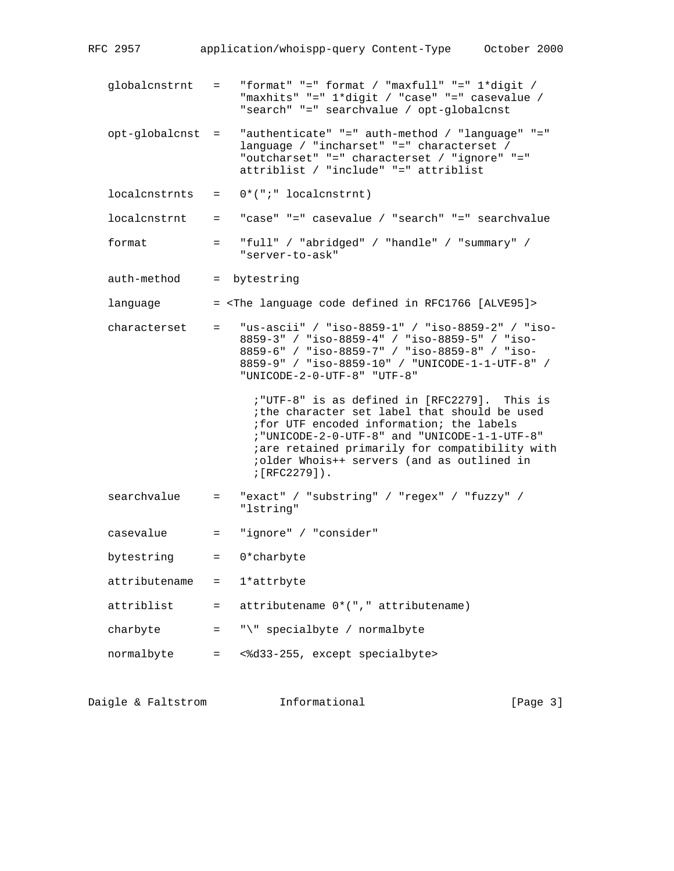- globalcnstrnt = "format" "=" format / "maxfull" "=" 1\*digit / "maxhits" "=" 1\*digit / "case" "=" casevalue / "search" "=" searchvalue / opt-globalcnst
- opt-globalcnst = "authenticate" "=" auth-method / "language" "=" language / "incharset" "=" characterset / "outcharset" "=" characterset / "ignore" "=" attriblist / "include" "=" attriblist
- $localcnstrnts = 0*("i" 'localcnstrnt)$
- localcnstrnt = "case" "=" casevalue / "search" "=" searchvalue

 format = "full" / "abridged" / "handle" / "summary" / "server-to-ask"

auth-method = bytestring

language  $=$  <The language code defined in RFC1766 [ALVE95]>

 characterset = "us-ascii" / "iso-8859-1" / "iso-8859-2" / "iso- 8859-3" / "iso-8859-4" / "iso-8859-5" / "iso- 8859-6" / "iso-8859-7" / "iso-8859-8" / "iso- 8859-9" / "iso-8859-10" / "UNICODE-1-1-UTF-8" / "UNICODE-2-0-UTF-8" "UTF-8"

> ;"UTF-8" is as defined in [RFC2279]. This is ;the character set label that should be used ;for UTF encoded information; the labels ;"UNICODE-2-0-UTF-8" and "UNICODE-1-1-UTF-8" ;are retained primarily for compatibility with ;older Whois++ servers (and as outlined in ;[RFC2279]).

- searchvalue = "exact" / "substring" / "regex" / "fuzzy" / "lstring"
- casevalue = "ignore" / "consider"
- bytestring = 0\*charbyte
- $attributename = 1*attribute$
- attriblist = attributename 0\*("," attributename)
- charbyte  $=$  " $\vee$ " specialbyte / normalbyte
- normalbyte = <%d33-255, except specialbyte>

Daigle & Faltstrom 1nformational [Page 3]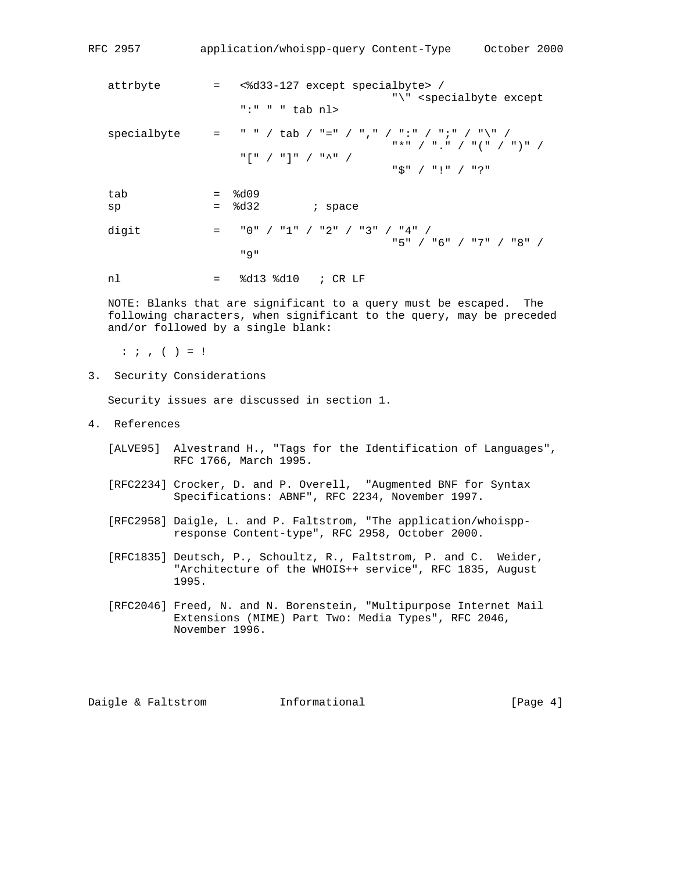| RFC 2957    | application/whoispp-query Content-Type<br>October 2000                                                                                                            |
|-------------|-------------------------------------------------------------------------------------------------------------------------------------------------------------------|
| attrbyte    | <%d33-127 except specialbyte> /<br>$=$<br>"\" <specialbyte except<br="">":" " " tab nl&gt;</specialbyte>                                                          |
| specialbyte | " " / tab / "=" / ", " / ":" / "; " / "\" /<br>$=$<br>"*" / "." / "(" / ")" /<br>$"\;[\;"\; \;/\;"\;]\;"\; \;/\;"\;^{\wedge\;}\;"\; \;/\;$<br>$"$ \$" / "!" / "?" |
| tab<br>sp   | 8d09<br>$=$<br>8d32<br>; space<br>$=$                                                                                                                             |
| digit       | "0" / "1" / "2" / "3" / "4" /<br>$=$<br>"5" / "6" / "7" / "8" /<br>" 9 "                                                                                          |

nl = %d13 %d10 ; CR LF

 NOTE: Blanks that are significant to a query must be escaped. The following characters, when significant to the query, may be preceded and/or followed by a single blank:

 $: i, ( ) = !$ 

3. Security Considerations

Security issues are discussed in section 1.

- 4. References
	- [ALVE95] Alvestrand H., "Tags for the Identification of Languages", RFC 1766, March 1995.
	- [RFC2234] Crocker, D. and P. Overell, "Augmented BNF for Syntax Specifications: ABNF", RFC 2234, November 1997.
	- [RFC2958] Daigle, L. and P. Faltstrom, "The application/whoispp response Content-type", RFC 2958, October 2000.
	- [RFC1835] Deutsch, P., Schoultz, R., Faltstrom, P. and C. Weider, "Architecture of the WHOIS++ service", RFC 1835, August 1995.
	- [RFC2046] Freed, N. and N. Borenstein, "Multipurpose Internet Mail Extensions (MIME) Part Two: Media Types", RFC 2046, November 1996.

Daigle & Faltstrom and Informational [Page 4]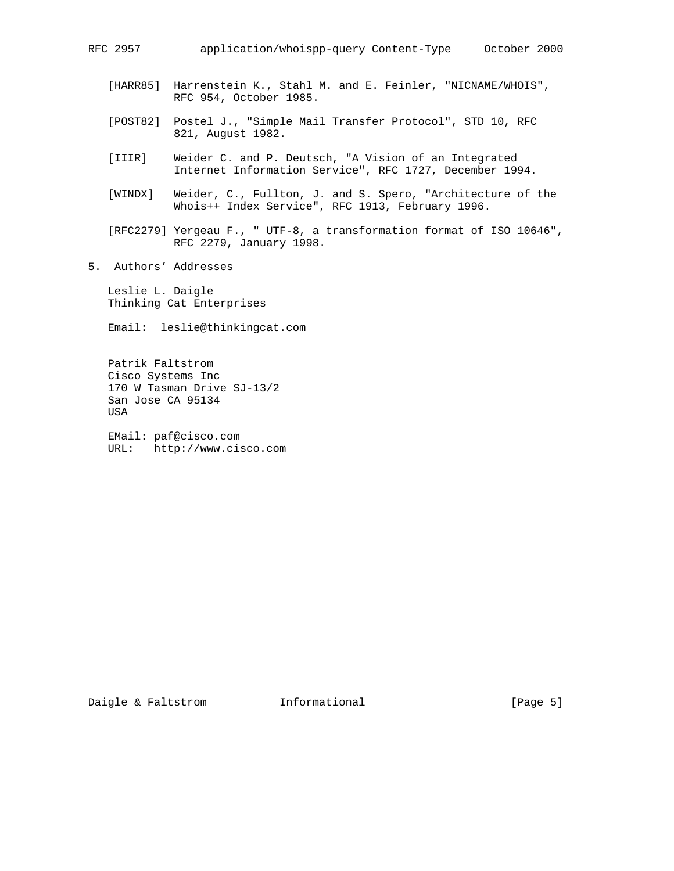- [HARR85] Harrenstein K., Stahl M. and E. Feinler, "NICNAME/WHOIS", RFC 954, October 1985.
- [POST82] Postel J., "Simple Mail Transfer Protocol", STD 10, RFC 821, August 1982.
- [IIIR] Weider C. and P. Deutsch, "A Vision of an Integrated Internet Information Service", RFC 1727, December 1994.
- [WINDX] Weider, C., Fullton, J. and S. Spero, "Architecture of the Whois++ Index Service", RFC 1913, February 1996.
- [RFC2279] Yergeau F., " UTF-8, a transformation format of ISO 10646", RFC 2279, January 1998.
- 5. Authors' Addresses

 Leslie L. Daigle Thinking Cat Enterprises

Email: leslie@thinkingcat.com

 Patrik Faltstrom Cisco Systems Inc 170 W Tasman Drive SJ-13/2 San Jose CA 95134 USA

 EMail: paf@cisco.com URL: http://www.cisco.com